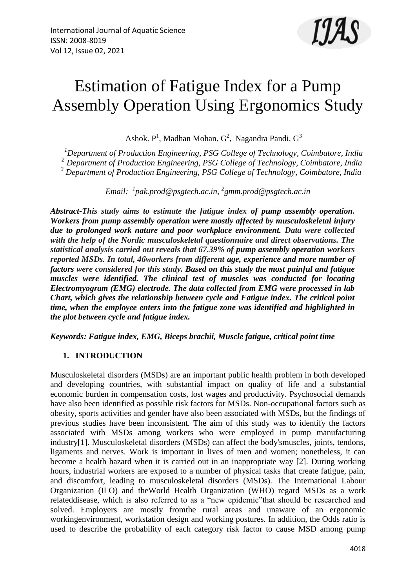

# Estimation of Fatigue Index for a Pump Assembly Operation Using Ergonomics Study

Ashok.  $P^1$ , Madhan Mohan.  $G^2$ , Nagandra Pandi.  $G^3$ 

*<sup>1</sup>Department of Production Engineering, PSG College of Technology, Coimbatore, India <sup>2</sup> Department of Production Engineering, PSG College of Technology, Coimbatore, India <sup>3</sup> Department of Production Engineering, PSG College of Technology, Coimbatore, India*

*Email: <sup>1</sup> [pak.prod@psgtech.ac.in,](mailto:pak.prod@psgtech.ac.in) 2 gmm.prod@psgtech.ac.in*

*Abstract-This study aims to estimate the fatigue index of pump assembly operation. Workers from pump assembly operation were mostly affected by musculoskeletal injury due to prolonged work nature and poor workplace environment. Data were collected with the help of the Nordic musculoskeletal questionnaire and direct observations. The statistical analysis carried out reveals that 67.39% of pump assembly operation workers reported MSDs. In total, 46workers from different age, experience and more number of factors were considered for this study. Based on this study the most painful and fatigue muscles were identified. The clinical test of muscles was conducted for locating Electromyogram (EMG) electrode. The data collected from EMG were processed in lab Chart, which gives the relationship between cycle and Fatigue index. The critical point time, when the employee enters into the fatigue zone was identified and highlighted in the plot between cycle and fatigue index.*

*Keywords: Fatigue index, EMG, Biceps brachii, Muscle fatigue, critical point time*

# **1. INTRODUCTION**

Musculoskeletal disorders (MSDs) are an important public health problem in both developed and developing countries, with substantial impact on quality of life and a substantial economic burden in compensation costs, lost wages and productivity. Psychosocial demands have also been identified as possible risk factors for MSDs. Non-occupational factors such as obesity, sports activities and gender have also been associated with MSDs, but the findings of previous studies have been inconsistent. The aim of this study was to identify the factors associated with MSDs among workers who were employed in pump manufacturing industry[1]. Musculoskeletal disorders (MSDs) can affect the body'smuscles, joints, tendons, ligaments and nerves. Work is important in lives of men and women; nonetheless, it can become a health hazard when it is carried out in an inappropriate way [2]. During working hours, industrial workers are exposed to a number of physical tasks that create fatigue, pain, and discomfort, leading to musculoskeletal disorders (MSDs). The International Labour Organization (ILO) and theWorld Health Organization (WHO) regard MSDs as a work relateddisease, which is also referred to as a "new epidemic"that should be researched and solved. Employers are mostly fromthe rural areas and unaware of an ergonomic workingenvironment, workstation design and working postures. In addition, the Odds ratio is used to describe the probability of each category risk factor to cause MSD among pump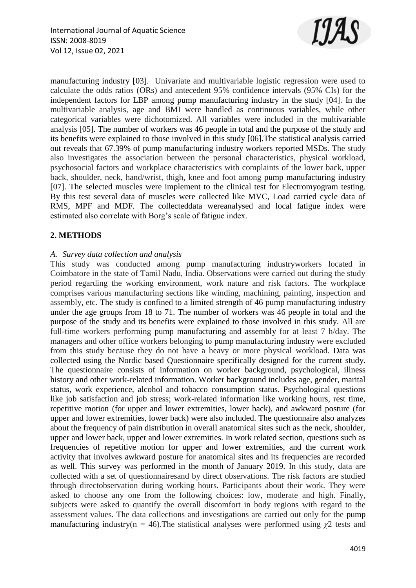

manufacturing industry [03]. Univariate and multivariable logistic regression were used to calculate the odds ratios (ORs) and antecedent 95% confidence intervals (95% CIs) for the independent factors for LBP among pump manufacturing industry in the study [04]. In the multivariable analysis, age and BMI were handled as continuous variables, while other categorical variables were dichotomized. All variables were included in the multivariable analysis [05]. The number of workers was 46 people in total and the purpose of the study and its benefits were explained to those involved in this study [06].The statistical analysis carried out reveals that 67.39% of pump manufacturing industry workers reported MSDs. The study also investigates the association between the personal characteristics, physical workload, psychosocial factors and workplace characteristics with complaints of the lower back, upper back, shoulder, neck, hand/wrist, thigh, knee and foot among pump manufacturing industry [07]. The selected muscles were implement to the clinical test for Electromyogram testing. By this test several data of muscles were collected like MVC, Load carried cycle data of RMS, MPF and MDF. The collecteddata wereanalysed and local fatigue index were estimated also correlate with Borg's scale of fatigue index.

# **2. METHODS**

#### *A. Survey data collection and analysis*

This study was conducted among pump manufacturing industryworkers located in Coimbatore in the state of Tamil Nadu, India. Observations were carried out during the study period regarding the working environment, work nature and risk factors. The workplace comprises various manufacturing sections like winding, machining, painting, inspection and assembly, etc. The study is confined to a limited strength of 46 pump manufacturing industry under the age groups from 18 to 71. The number of workers was 46 people in total and the purpose of the study and its benefits were explained to those involved in this study. All are full-time workers performing pump manufacturing and assembly for at least 7 h/day. The managers and other office workers belonging to pump manufacturing industry were excluded from this study because they do not have a heavy or more physical workload. Data was collected using the Nordic based Questionnaire specifically designed for the current study. The questionnaire consists of information on worker background, psychological, illness history and other work-related information. Worker background includes age, gender, marital status, work experience, alcohol and tobacco consumption status. Psychological questions like job satisfaction and job stress; work-related information like working hours, rest time, repetitive motion (for upper and lower extremities, lower back), and awkward posture (for upper and lower extremities, lower back) were also included. The questionnaire also analyzes about the frequency of pain distribution in overall anatomical sites such as the neck, shoulder, upper and lower back, upper and lower extremities. In work related section, questions such as frequencies of repetitive motion for upper and lower extremities, and the current work activity that involves awkward posture for anatomical sites and its frequencies are recorded as well. This survey was performed in the month of January 2019. In this study, data are collected with a set of questionnairesand by direct observations. The risk factors are studied through directobservation during working hours. Participants about their work. They were asked to choose any one from the following choices: low, moderate and high. Finally, subjects were asked to quantify the overall discomfort in body regions with regard to the assessment values. The data collections and investigations are carried out only for the pump manufacturing industry( $n = 46$ ). The statistical analyses were performed using  $\chi^2$  tests and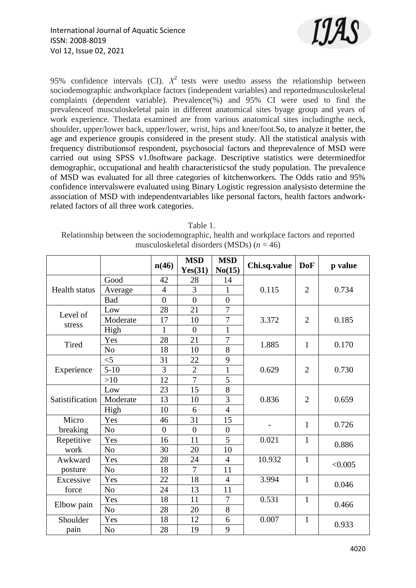

95% confidence intervals (CI).  $X^2$  tests were usedto assess the relationship between sociodemographic andworkplace factors (independent variables) and reportedmusculoskeletal complaints (dependent variable). Prevalence(%) and 95% CI were used to find the prevalenceof musculoskeletal pain in different anatomical sites byage group and years of work experience. Thedata examined are from various anatomical sites includingthe neck, shoulder, upper/lower back, upper/lower, wrist, hips and knee/foot.So, to analyze it better, the age and experience groupis considered in the present study. All the statistical analysis with frequency distributionsof respondent, psychosocial factors and theprevalence of MSD were carried out using SPSS v1.0software package. Descriptive statistics were determinedfor demographic, occupational and health characteristicsof the study population. The prevalence of MSD was evaluated for all three categories of kitchenworkers. The Odds ratio and 95% confidence intervalswere evaluated using Binary Logistic regression analysisto determine the association of MSD with independentvariables like personal factors, health factors andworkrelated factors of all three work categories.

| Table 1.                                                                             |
|--------------------------------------------------------------------------------------|
| Relationship between the sociodemographic, health and workplace factors and reported |
| musculoskeletal disorders (MSDs) $(n = 46)$                                          |

|                      |                | n(46)          | <b>MSD</b><br>Yes(31) | <b>MSD</b><br>No(15) | Chi.sq.value | <b>DoF</b>     | p value |
|----------------------|----------------|----------------|-----------------------|----------------------|--------------|----------------|---------|
| <b>Health status</b> | Good           | 42             | 28                    | 14                   |              | $\overline{2}$ | 0.734   |
|                      | Average        | $\overline{4}$ | 3                     | 1                    | 0.115        |                |         |
|                      | <b>Bad</b>     | $\overline{0}$ | $\overline{0}$        | $\overline{0}$       |              |                |         |
| Level of             | Low            | 28             | 21                    | $\overline{7}$       |              | $\overline{2}$ | 0.185   |
| stress               | Moderate       | 17             | 10                    | 7                    | 3.372        |                |         |
|                      | High           | 1              | $\overline{0}$        | $\mathbf{1}$         |              |                |         |
| <b>Tired</b>         | Yes            | 28             | 21                    | $\overline{7}$       | 1.885        | $\mathbf{1}$   | 0.170   |
|                      | N <sub>o</sub> | 18             | 10                    | 8                    |              |                |         |
|                      | $<$ 5          | 31             | 22                    | 9                    |              |                |         |
| Experience           | $5 - 10$       | $\overline{3}$ | $\overline{2}$        | $\mathbf{1}$         | 0.629        | $\overline{2}$ | 0.730   |
|                      | $>10$          | 12             | $\overline{7}$        | 5                    |              |                |         |
|                      | Low            | 23             | 15                    | 8                    |              | $\overline{2}$ | 0.659   |
| Satistification      | Moderate       | 13             | 10                    | $\overline{3}$       | 0.836        |                |         |
|                      | High           | 10             | 6                     | $\overline{4}$       |              |                |         |
| Micro                | Yes            | 46             | 31                    | 15                   |              | $\mathbf{1}$   | 0.726   |
| breaking             | N <sub>o</sub> | $\theta$       | $\overline{0}$        | $\overline{0}$       |              |                |         |
| Repetitive           | Yes            | 16             | 11                    | 5                    | 0.021        | $\mathbf{1}$   | 0.886   |
| work                 | N <sub>o</sub> | 30             | 20                    | 10                   |              |                |         |
| Awkward              | Yes            | 28             | 24                    | $\overline{4}$       | 10.932       | $\mathbf{1}$   | < 0.005 |
| posture              | N <sub>o</sub> | 18             | $\overline{7}$        | 11                   |              |                |         |
| Excessive<br>force   | Yes            | 22             | 18                    | $\overline{4}$       | 3.994        | $\mathbf{1}$   | 0.046   |
|                      | N <sub>o</sub> | 24             | 13                    | 11                   |              |                |         |
| Elbow pain           | Yes            | 18             | 11                    | 7                    | 0.531        | $\mathbf{1}$   | 0.466   |
|                      | N <sub>o</sub> | 28             | 20                    | 8                    |              |                |         |
| Shoulder             | Yes            | 18             | 12                    | 6                    | 0.007        | $\mathbf{1}$   | 0.933   |
| pain                 | N <sub>o</sub> | 28             | 19                    | 9                    |              |                |         |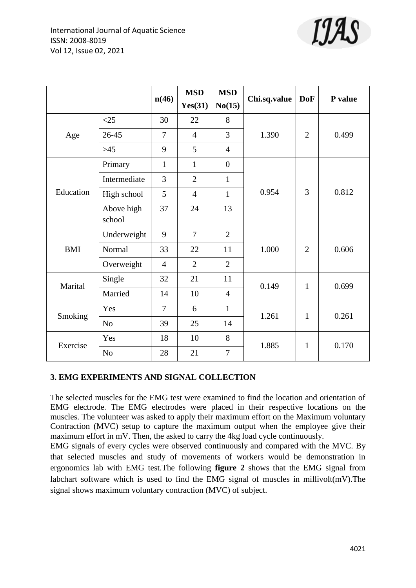

|            |                      | n(46)          | <b>MSD</b>     | <b>MSD</b>     | Chi.sq.value | <b>DoF</b>     | P value |
|------------|----------------------|----------------|----------------|----------------|--------------|----------------|---------|
|            |                      |                | Yes(31)        | No(15)         |              |                |         |
| Age        | $<$ 25               | 30             | 22             | 8              |              | $\overline{2}$ | 0.499   |
|            | 26-45                | 7              | $\overline{4}$ | 3              | 1.390        |                |         |
|            | $>45$                | 9              | 5              | $\overline{4}$ |              |                |         |
| Education  | Primary              | $\mathbf{1}$   | $\mathbf{1}$   | $\overline{0}$ |              |                |         |
|            | Intermediate         | 3              | $\overline{2}$ | $\mathbf{1}$   |              |                |         |
|            | High school          | 5              | $\overline{4}$ | $\mathbf{1}$   | 0.954        | 3              | 0.812   |
|            | Above high<br>school | 37             | 24             | 13             |              |                |         |
| <b>BMI</b> | Underweight          | 9              | $\overline{7}$ | $\overline{2}$ |              | $\overline{2}$ | 0.606   |
|            | Normal               | 33             | 22             | 11             | 1.000        |                |         |
|            | Overweight           | $\overline{4}$ | $\overline{2}$ | $\overline{2}$ |              |                |         |
| Marital    | Single               | 32             | 21             | 11             | 0.149        | $\mathbf{1}$   | 0.699   |
|            | Married              | 14             | 10             | $\overline{4}$ |              |                |         |
| Smoking    | Yes                  | $\overline{7}$ | 6              | $\mathbf{1}$   | 1.261        | $\mathbf{1}$   | 0.261   |
|            | No                   | 39             | 25             | 14             |              |                |         |
| Exercise   | Yes                  | 18             | 10             | 8              | 1.885        | $\mathbf{1}$   |         |
|            | No                   | 28             | 21             | $\overline{7}$ |              |                | 0.170   |

# **3. EMG EXPERIMENTS AND SIGNAL COLLECTION**

The selected muscles for the EMG test were examined to find the location and orientation of EMG electrode. The EMG electrodes were placed in their respective locations on the muscles. The volunteer was asked to apply their maximum effort on the Maximum voluntary Contraction (MVC) setup to capture the maximum output when the employee give their maximum effort in mV. Then, the asked to carry the 4kg load cycle continuously.

EMG signals of every cycles were observed continuously and compared with the MVC. By that selected muscles and study of movements of workers would be demonstration in ergonomics lab with EMG test.The following **figure 2** shows that the EMG signal from labchart software which is used to find the EMG signal of muscles in millivolt(mV).The signal shows maximum voluntary contraction (MVC) of subject.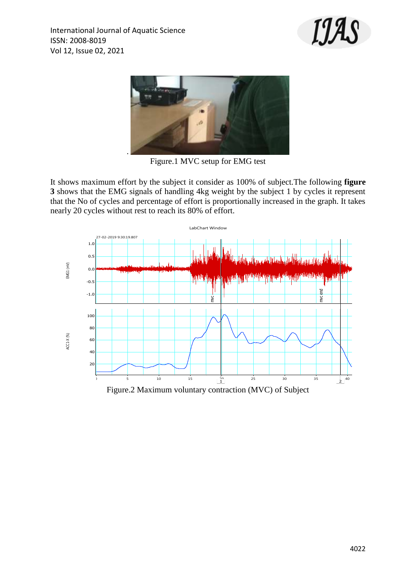



Figure.1 MVC setup for EMG test

It shows maximum effort by the subject it consider as 100% of subject.The following **figure 3** shows that the EMG signals of handling 4kg weight by the subject 1 by cycles it represent that the No of cycles and percentage of effort is proportionally increased in the graph. It takes nearly 20 cycles without rest to reach its 80% of effort.

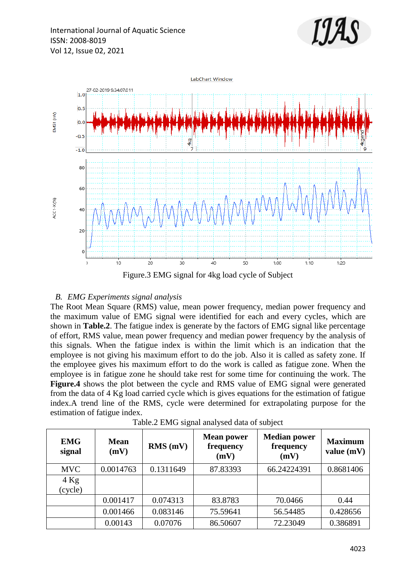



#### *B. EMG Experiments signal analysis*

The Root Mean Square (RMS) value, mean power frequency, median power frequency and the maximum value of EMG signal were identified for each and every cycles, which are shown in **Table.2**. The fatigue index is generate by the factors of EMG signal like percentage of effort, RMS value, mean power frequency and median power frequency by the analysis of this signals. When the fatigue index is within the limit which is an indication that the employee is not giving his maximum effort to do the job. Also it is called as safety zone. If the employee gives his maximum effort to do the work is called as fatigue zone. When the employee is in fatigue zone he should take rest for some time for continuing the work. The **Figure.4** shows the plot between the cycle and RMS value of EMG signal were generated from the data of 4 Kg load carried cycle which is gives equations for the estimation of fatigue index.A trend line of the RMS, cycle were determined for extrapolating purpose for the estimation of fatigue index.

| <b>EMG</b><br>signal | <b>Mean</b><br>(mV) | $RMS$ (mV) | <b>Mean power</b><br>frequency<br>(mV) | <b>Median power</b><br>frequency<br>(mV) | <b>Maximum</b><br>value $(mV)$ |
|----------------------|---------------------|------------|----------------------------------------|------------------------------------------|--------------------------------|
| <b>MVC</b>           | 0.0014763           | 0.1311649  | 87.83393                               | 66.24224391                              | 0.8681406                      |
| $4$ Kg<br>(cycle)    |                     |            |                                        |                                          |                                |
|                      | 0.001417            | 0.074313   | 83.8783                                | 70.0466                                  | 0.44                           |
|                      | 0.001466            | 0.083146   | 75.59641                               | 56.54485                                 | 0.428656                       |
|                      | 0.00143             | 0.07076    | 86.50607                               | 72.23049                                 | 0.386891                       |

Table.2 EMG signal analysed data of subject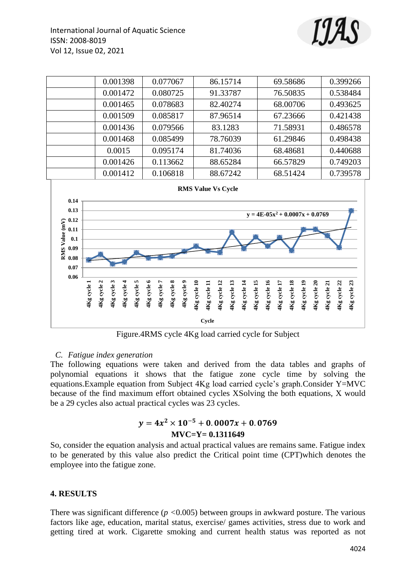



Figure.4RMS cycle 4Kg load carried cycle for Subject

#### *C. Fatigue index generation*

The following equations were taken and derived from the data tables and graphs of polynomial equations it shows that the fatigue zone cycle time by solving the equations.Example equation from Subject 4Kg load carried cycle's graph.Consider Y=MVC because of the find maximum effort obtained cycles XSolving the both equations, X would be a 29 cycles also actual practical cycles was 23 cycles.

# $y = 4x^2$ **MVC=Y= 0.1311649**

So, consider the equation analysis and actual practical values are remains same. Fatigue index to be generated by this value also predict the Critical point time (CPT)which denotes the employee into the fatigue zone.

#### **4. RESULTS**

There was significant difference (*p <*0.005) between groups in awkward posture. The various factors like age, education, marital status, exercise/ games activities, stress due to work and getting tired at work. Cigarette smoking and current health status was reported as not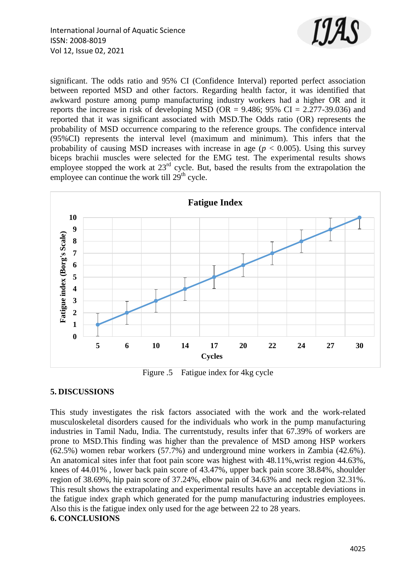

significant. The odds ratio and 95% CI (Confidence Interval) reported perfect association between reported MSD and other factors. Regarding health factor, it was identified that awkward posture among pump manufacturing industry workers had a higher OR and it reports the increase in risk of developing MSD (OR =  $9.486$ ;  $95\%$  CI =  $2.277-39.036$ ) and reported that it was significant associated with MSD.The Odds ratio (OR) represents the probability of MSD occurrence comparing to the reference groups. The confidence interval (95%CI) represents the interval level (maximum and minimum). This infers that the probability of causing MSD increases with increase in age ( $p < 0.005$ ). Using this survey biceps brachii muscles were selected for the EMG test. The experimental results shows employee stopped the work at  $23<sup>rd</sup>$  cycle. But, based the results from the extrapolation the employee can continue the work till  $29<sup>th</sup>$  cycle.



Figure .5 Fatigue index for 4kg cycle

# **5. DISCUSSIONS**

This study investigates the risk factors associated with the work and the work-related musculoskeletal disorders caused for the individuals who work in the pump manufacturing industries in Tamil Nadu, India. The currentstudy, results infer that 67.39% of workers are prone to MSD.This finding was higher than the prevalence of MSD among HSP workers (62.5%) women rebar workers (57.7%) and underground mine workers in Zambia (42.6%). An anatomical sites infer that foot pain score was highest with 48.11%,wrist region 44.63%, knees of 44.01% , lower back pain score of 43.47%, upper back pain score 38.84%, shoulder region of 38.69%, hip pain score of 37.24%, elbow pain of 34.63% and neck region 32.31%. This result shows the extrapolating and experimental results have an acceptable deviations in the fatigue index graph which generated for the pump manufacturing industries employees. Also this is the fatigue index only used for the age between 22 to 28 years. **6. CONCLUSIONS**